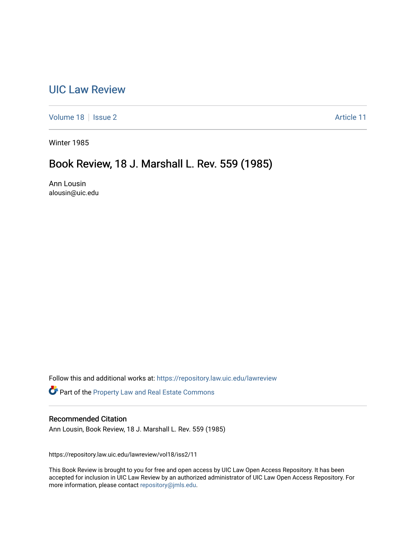## [UIC Law Review](https://repository.law.uic.edu/lawreview)

[Volume 18](https://repository.law.uic.edu/lawreview/vol18) | [Issue 2](https://repository.law.uic.edu/lawreview/vol18/iss2) Article 11

Winter 1985

# Book Review, 18 J. Marshall L. Rev. 559 (1985)

Ann Lousin alousin@uic.edu

Follow this and additional works at: [https://repository.law.uic.edu/lawreview](https://repository.law.uic.edu/lawreview?utm_source=repository.law.uic.edu%2Flawreview%2Fvol18%2Fiss2%2F11&utm_medium=PDF&utm_campaign=PDFCoverPages) 

Part of the [Property Law and Real Estate Commons](http://network.bepress.com/hgg/discipline/897?utm_source=repository.law.uic.edu%2Flawreview%2Fvol18%2Fiss2%2F11&utm_medium=PDF&utm_campaign=PDFCoverPages) 

### Recommended Citation

Ann Lousin, Book Review, 18 J. Marshall L. Rev. 559 (1985)

https://repository.law.uic.edu/lawreview/vol18/iss2/11

This Book Review is brought to you for free and open access by UIC Law Open Access Repository. It has been accepted for inclusion in UIC Law Review by an authorized administrator of UIC Law Open Access Repository. For more information, please contact [repository@jmls.edu.](mailto:repository@jmls.edu)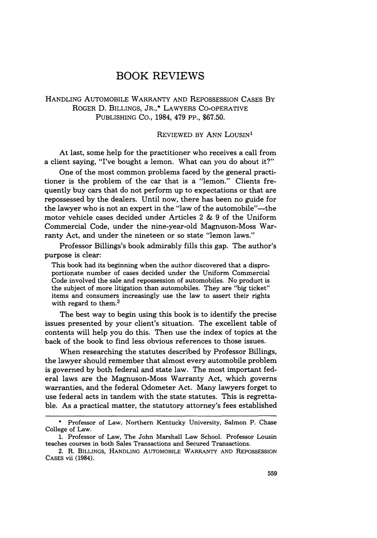## BOOK REVIEWS

#### HANDLING AUTOMOBILE WARRANTY AND REPOSSESSION CASES BY ROGER D. BILLINGS, JR.,\* LAWYERS CO-OPERATIVE PUBLISHING CO., 1984, 479 PP., \$67.50.

#### REVIEWED BY ANN LOUSIN<sup>1</sup>

At last, some help for the practitioner who receives a call from a client saying, "I've bought a lemon. What can you do about it?"

One of the most common problems faced by the general practitioner is the problem of the car that is a "lemon." Clients frequently buy cars that do not perform up to expectations or that are repossessed by the dealers. Until now, there has been no guide for the lawyer who is not an expert in the "law of the automobile"-the motor vehicle cases decided under Articles 2 & 9 of the Uniform Commercial Code, under the nine-year-old Magnuson-Moss Warranty Act, and under the nineteen or so state "lemon laws."

Professor Billings's book admirably fills this gap. The author's purpose is clear:

This book had its beginning when the author discovered that a disproportionate number of cases decided under the Uniform Commercial Code involved the sale and repossession of automobiles. No product is the subject of more litigation than automobiles. They are "big ticket" items and consumers increasingly use the law to assert their rights with regard to them.<sup>2</sup>

The best way to begin using this book is to identify the precise issues presented by your client's situation. The excellent table of contents will help you do this. Then use the index of topics at the back of the book to find less obvious references to those issues.

When researching the statutes described by Professor Billings, the lawyer should remember that almost every automobile problem is governed by both federal and state law. The most important federal laws are the Magnuson-Moss Warranty Act, which governs warranties, and the federal Odometer Act. Many lawyers forget to use federal acts in tandem with the state statutes. This is regrettable. As a practical matter, the statutory attorney's fees established

<sup>\*</sup> Professor of Law, Northern Kentucky University, Salmon P. Chase College of Law.

<sup>1.</sup> Professor of Law, The John Marshall Law School. Professor Lousin teaches courses in both Sales Transactions and Secured Transactions.

<sup>2.</sup> R. BILLINGS, HANDLING AUTOMOBILE WARRANTY AND REPOSSESSION CASES vii (1984).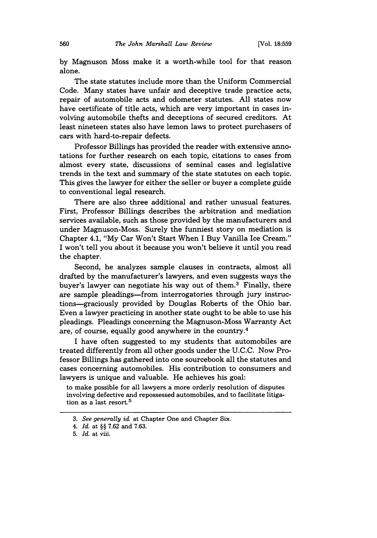by Magnuson Moss make it a worth-while tool for that reason alone.

The state statutes include more than the Uniform Commercial Code. Many states have unfair and deceptive trade practice acts, repair of automobile acts and odometer statutes. All states now have certificate of title acts, which are very important in cases involving automobile thefts and deceptions of secured creditors. At least nineteen states also have lemon laws to protect purchasers of cars with hard-to-repair defects.

Professor Billings has provided the reader with extensive annotations for further research on each topic, citations to cases from almost every state, discussions of seminal cases and legislative trends in the text and summary of the state statutes on each topic. This gives the lawyer for either the seller or buyer a complete guide to conventional legal research.

There are also three additional and rather unusual features. First, Professor Billings describes the arbitration and mediation services available, such as those provided by the manufacturers and under Magnuson-Moss. Surely the funniest story on mediation is Chapter 4.1, "My Car Won't Start When I Buy Vanilla Ice Cream." I won't tell you about it because you won't believe it until you read the chapter.

Second, he analyzes sample clauses in contracts, almost all drafted by the manufacturer's lawyers, and even suggests ways the buyer's lawyer can negotiate his way out of them.3 Finally, there are sample pleadings-from interrogatories through jury instructions-graciously provided by Douglas Roberts of the Ohio bar. Even a lawyer practicing in another state ought to be able to use his pleadings. Pleadings concerning the Magnuson-Moss Warranty Act are, of course, equally good anywhere in the country.<sup>4</sup>

I have often suggested to my students that automobiles are treated differently from all other goods under the U.C.C. Now Professor Billings has gathered into one sourcebook all the statutes and cases concerning automobiles. His contribution to consumers and lawyers is unique and valuable. He achieves his goal:

to make possible for all lawyers a more orderly resolution of disputes involving defective and repossessed automobiles, and to facilitate litigation as a last resort.<sup>5</sup>

*<sup>3.</sup> See generally id.* at Chapter One and Chapter Six.

*<sup>4.</sup> Id.* at §§ 7.62 and 7.63.

<sup>5.</sup> *Id.* at viii.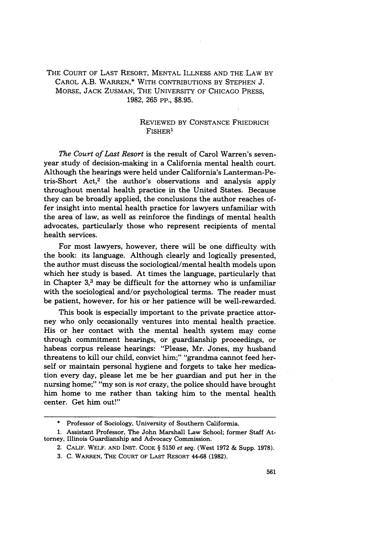#### THE COURT OF LAST RESORT, MENTAL ILLNESS AND THE LAW BY CAROL A.B. WARREN,\* WITH CONTRIBUTIONS BY STEPHEN J. MORSE, JACK ZUSMAN, THE UNIVERSITY OF CHICAGO PRESS, 1982, 265 PP., \$8.95.

#### REVIEWED BY CONSTANCE FRIEDRICH FISHER<sup>1</sup>

*The Court of Last Resort* is the result of Carol Warren's sevenyear study of decision-making in a California mental health court. Although the hearings were held under California's Lanterman-Petris-Short Act, $2$  the author's observations and analysis apply throughout mental health practice in the United States. Because they can be broadly applied, the conclusions the author reaches offer insight into mental health practice for lawyers unfamiliar with the area of law, as well as reinforce the findings of mental health advocates, particularly those who represent recipients of mental health services.

For most lawyers, however, there will be one difficulty with the book: its language. Although clearly and logically presented, the author must discuss the sociological/mental health models upon which her study is based. At times the language, particularly that in Chapter  $3<sup>3</sup>$  may be difficult for the attorney who is unfamiliar with the sociological and/or psychological terms. The reader must be patient, however, for his or her patience will be well-rewarded.

This book is especially important to the private practice attorney who only occasionally ventures into mental health practice. His or her contact with the mental health system may come through commitment hearings, or guardianship proceedings, or habeas corpus release hearings: "Please, Mr. Jones, my husband threatens to kill our child, convict him;" "grandma cannot feed herself or maintain personal hygiene and forgets to take her medication every day, please let me be her guardian and put her in the nursing home;" "my son is *not* crazy, the police should have brought him home to me rather than taking him to the mental health center. Get him out!"

<sup>\*</sup> Professor of Sociology, University of Southern Califormia.

<sup>1.</sup> Assistant Professor, The John Marshall Law School; former Staff Attorney, Illinois Guardianship and Advocacy Commission.

<sup>2.</sup> CALIF. WELF. AND INST. CODE § 5150 *et seq.* (West 1972 & Supp. 1978).

<sup>3.</sup> C. WARREN, THE COURT OF LAST RESORT 44-68 (1982).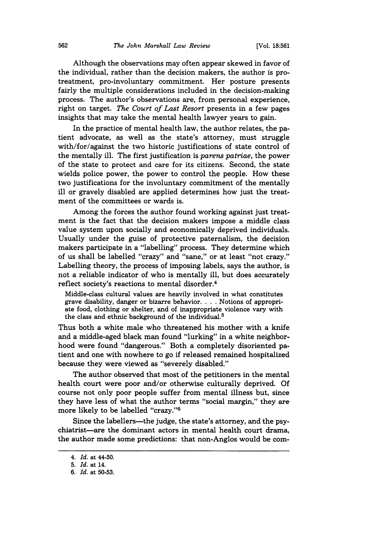Although the observations may often appear skewed in favor of the individual, rather than the decision makers, the author is protreatment, pro-involuntary commitment. Her posture presents fairly the multiple considerations included in the decision-making process. The author's observations are, from personal experience, right on target. *The Court of Last Resort* presents in a few pages insights that may take the mental health lawyer years to gain.

In the practice of mental health law, the author relates, the patient advocate, as well as the state's attorney, must struggle with/for/against the two historic justifications of state control of the mentally ill. The first justification is *parens patriae,* the power of the state to protect and care for its citizens. Second, the state wields police power, the power to control the people. How these two justifications for the involuntary commitment of the mentally ill or gravely disabled are applied determines how just the treatment of the committees or wards is.

Among the forces the author found working against just treatment is the fact that the decision makers impose a middle class value system upon socially and economically deprived individuals. Usually under the guise of protective paternalism, the decision makers participate in a "labelling" process. They determine which of us shall be labelled "crazy" and "sane," or at least "not crazy." Labelling theory, the process of imposing labels, says the author, is not a reliable indicator of who is mentally ill, but does accurately reflect society's reactions to mental disorder.<sup>4</sup>

Middle-class cultural values are heavily involved in what constitutes grave disability, danger or bizarre behavior **....** Notions of appropriate food, clothing or shelter, and of inappropriate violence vary with the class and ethnic background of the individual.<sup>5</sup>

Thus both a white male who threatened his mother with a knife and a middle-aged black man found "lurking" in a white neighborhood were found "dangerous." Both a completely disoriented patient and one with nowhere to go if released remained hospitalized because they were viewed as "severely disabled."

The author observed that most of the petitioners in the mental health court were poor and/or otherwise culturally deprived. **Of** course not only poor people suffer from mental illness but, since they have less of what the author terms "social margin," they are more likely to be labelled "crazy."

Since the labellers—the judge, the state's attorney, and the psychiatrist-are the dominant actors in mental health court drama, the author made some predictions: that non-Anglos would be com-

*<sup>4.</sup> Id.* at 44-50.

**<sup>5.</sup>** *Id.* at 14.

**<sup>6.</sup>** *Id.* at **50-53.**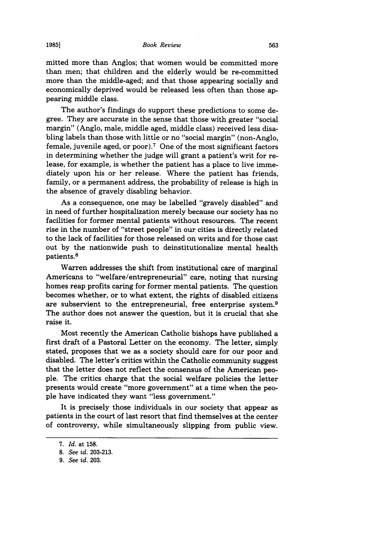mitted more than Anglos; that women would be committed more than men; that children and the elderly would be re-committed more than the middle-aged; and that those appearing socially and economically deprived would be released less often than those appearing middle class.

The author's findings do support these predictions to some degree. They are accurate in the sense that those with greater "social margin" (Anglo, male, middle aged, middle class) received less disabling labels than those with little or no "social margin" (non-Anglo, female, juvenile aged, or poor).<sup>7</sup> One of the most significant factors in determining whether the judge will grant a patient's writ for release, for example, is whether the patient has a place to live immediately upon his or her release. Where the patient has friends, family, or a permanent address, the probability of release is high in the absence of gravely disabling behavior.

As a consequence, one may be labelled "gravely disabled" and in need of further hospitalization merely because our society has no facilities for former mental patients without resources. The recent rise in the number of "street people" in our cities is directly related to the lack of facilities for those released on writs and for those cast out by the nationwide push to deinstitutionalize mental health patients. <sup>8</sup>

Warren addresses the shift from institutional care of marginal Americans to "welfare/entrepreneurial" care, noting that nursing homes reap profits caring for former mental patients. The question becomes whether, or to what extent, the rights of disabled citizens are subservient to the entrepreneurial, free enterprise system.9 The author does not answer the question, but it is crucial that she raise it.

Most recently the American Catholic bishops have published a first draft of a Pastoral Letter on the economy. The letter, simply stated, proposes that we as a society should care for our poor and disabled. The letter's critics within the Catholic community suggest that the letter does not reflect the consensus of the American people. The critics charge that the social welfare policies the letter presents would create "more government" at a time when the people have indicated they want "less government."

It is precisely those individuals in our society that appear as patients in the court of last resort that find themselves at the center of controversy, while simultaneously slipping from public view.

*<sup>7.</sup> Id.* at 158.

<sup>8.</sup> *See id.* 203-213.

*<sup>9.</sup> See id.* 203.